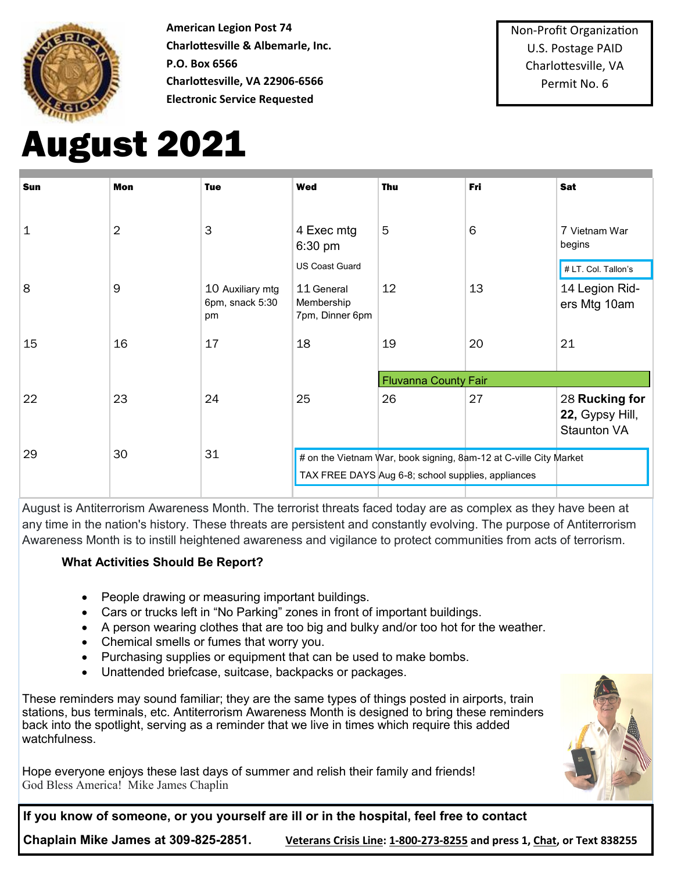

**American Legion Post 74 Charlottesville & Albemarle, Inc. P.O. Box 6566 Charlottesville, VA 22906-6566 Electronic Service Requested**

# August 2021

| <b>Sun</b> | <b>Mon</b>     | <b>Tue</b>                                | <b>Wed</b>                                                        | <b>Thu</b>                  | <b>Fri</b> | <b>Sat</b>                                              |
|------------|----------------|-------------------------------------------|-------------------------------------------------------------------|-----------------------------|------------|---------------------------------------------------------|
| 1          | $\overline{2}$ | 3                                         | 4 Exec mtg<br>6:30 pm                                             | $5\overline{5}$             | 6          | 7 Vietnam War<br>begins                                 |
|            |                |                                           | <b>US Coast Guard</b>                                             |                             |            | # LT. Col. Tallon's                                     |
| 8          | 9              | 10 Auxiliary mtg<br>6pm, snack 5:30<br>pm | 11 General<br>Membership<br>7pm, Dinner 6pm                       | 12                          | 13         | 14 Legion Rid-<br>ers Mtg 10am                          |
| 15         | 16             | 17                                        | 18                                                                | 19                          | 20         | 21                                                      |
|            |                |                                           |                                                                   | <b>Fluvanna County Fair</b> |            |                                                         |
| 22         | 23             | 24                                        | 25                                                                | 26                          | 27         | 28 Rucking for<br>22, Gypsy Hill,<br><b>Staunton VA</b> |
| 29         | 30             | 31                                        | # on the Vietnam War, book signing, 8am-12 at C-ville City Market |                             |            |                                                         |
|            |                |                                           | TAX FREE DAYS Aug 6-8; school supplies, appliances                |                             |            |                                                         |
|            |                |                                           |                                                                   |                             |            |                                                         |

August is Antiterrorism Awareness Month. The terrorist threats faced today are as complex as they have been at any time in the nation's history. These threats are persistent and constantly evolving. The purpose of Antiterrorism Awareness Month is to instill heightened awareness and vigilance to protect communities from acts of terrorism.

#### **What Activities Should Be Report?**

- People drawing or measuring important buildings.
- Cars or trucks left in "No Parking" zones in front of important buildings.
- A person wearing clothes that are too big and bulky and/or too hot for the weather.
- Chemical smells or fumes that worry you.
- Purchasing supplies or equipment that can be used to make bombs.
- Unattended briefcase, suitcase, backpacks or packages.

These reminders may sound familiar; they are the same types of things posted in airports, train stations, bus terminals, etc. Antiterrorism Awareness Month is designed to bring these reminders back into the spotlight, serving as a reminder that we live in times which require this added watchfulness.

Hope everyone enjoys these last days of summer and relish their family and friends! God Bless America! Mike James Chaplin



**If you know of someone, or you yourself are ill or in the hospital, feel free to contact** 

**Chaplain Mike James at 309-825-2851. [Veterans Crisis Line:](https://lnks.gd/l/eyJhbGciOiJIUzI1NiJ9.eyJidWxsZXRpbl9saW5rX2lkIjoxODgsInVyaSI6ImJwMjpjbGljayIsImJ1bGxldGluX2lkIjoiMjAyMTAzMjQuMzc2NTE5NjEiLCJ1cmwiOiJodHRwczovL3d3dy52ZXRlcmFuc2NyaXNpc2xpbmUubmV0Lz91dG1fc291cmNlPWZvb3RlciZ1dG1fbWVkaXVtPWVtYWlsJnV0bV9jYW1wYWln) 1-800-273-8255 and press 1, [Chat,](https://lnks.gd/l/eyJhbGciOiJIUzI1NiJ9.eyJidWxsZXRpbl9saW5rX2lkIjoxODksInVyaSI6ImJwMjpjbGljayIsImJ1bGxldGluX2lkIjoiMjAyMTAzMjQuMzc2NTE5NjEiLCJ1cmwiOiJodHRwczovL3d3dy52ZXRlcmFuc2NyaXNpc2xpbmUubmV0L2dldC1oZWxwL2NoYXQvP3V0bV9zb3VyY2U9Zm9vdGVyJnV0bV9tZWRpdW09ZW1h) or Text 838255**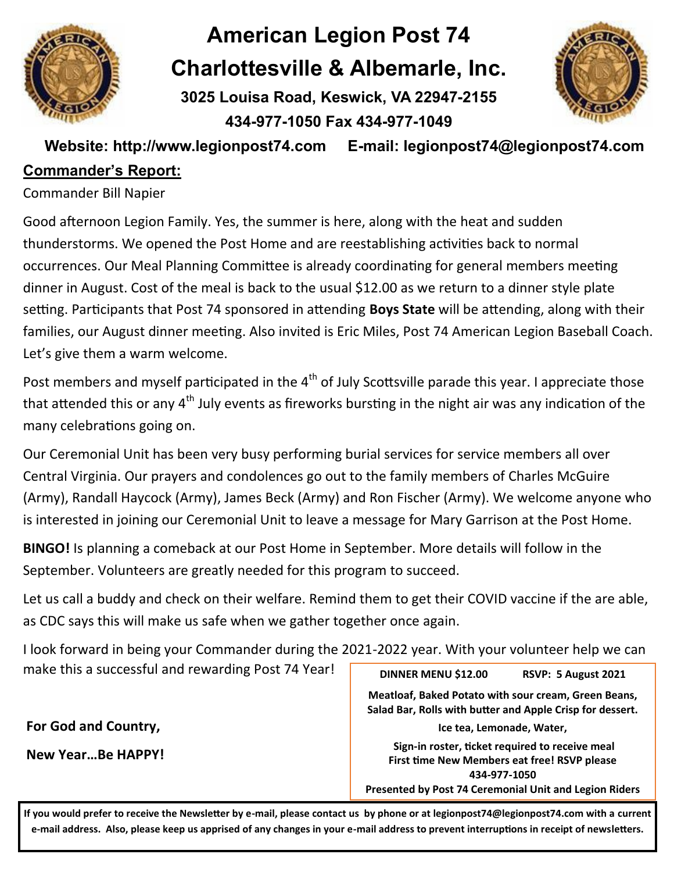

# **American Legion Post 74 Charlottesville & Albemarle, Inc.**

**3025 Louisa Road, Keswick, VA 22947-2155 434-977-1050 Fax 434-977-1049** 



**Website: http://www.legionpost74.com E-mail: legionpost74@legionpost74.com** 

# **Commander's Report:**

Commander Bill Napier

Good afternoon Legion Family. Yes, the summer is here, along with the heat and sudden thunderstorms. We opened the Post Home and are reestablishing activities back to normal occurrences. Our Meal Planning Committee is already coordinating for general members meeting dinner in August. Cost of the meal is back to the usual \$12.00 as we return to a dinner style plate setting. Participants that Post 74 sponsored in attending **Boys State** will be attending, along with their families, our August dinner meeting. Also invited is Eric Miles, Post 74 American Legion Baseball Coach. Let's give them a warm welcome.

Post members and myself participated in the 4<sup>th</sup> of July Scottsville parade this year. I appreciate those that attended this or any  $4<sup>th</sup>$  July events as fireworks bursting in the night air was any indication of the many celebrations going on.

Our Ceremonial Unit has been very busy performing burial services for service members all over Central Virginia. Our prayers and condolences go out to the family members of Charles McGuire (Army), Randall Haycock (Army), James Beck (Army) and Ron Fischer (Army). We welcome anyone who is interested in joining our Ceremonial Unit to leave a message for Mary Garrison at the Post Home.

**BINGO!** Is planning a comeback at our Post Home in September. More details will follow in the September. Volunteers are greatly needed for this program to succeed.

Let us call a buddy and check on their welfare. Remind them to get their COVID vaccine if the are able, as CDC says this will make us safe when we gather together once again.

I look forward in being your Commander during the 2021-2022 year. With your volunteer help we can make this a successful and rewarding Post 74 Year!

**For God and Country,** 

**New Year…Be HAPPY!**

**DINNER MENU \$12.00 RSVP: 5 August 2021 Meatloaf, Baked Potato with sour cream, Green Beans, Salad Bar, Rolls with butter and Apple Crisp for dessert. Ice tea, Lemonade, Water, Sign-in roster, ticket required to receive meal First time New Members eat free! RSVP please 434-977-1050 Presented by Post 74 Ceremonial Unit and Legion Riders**

**If you would prefer to receive the Newsletter by e-mail, please contact us by phone or at legionpost74@legionpost74.com with a current e-mail address. Also, please keep us apprised of any changes in your e-mail address to prevent interruptions in receipt of newsletters.**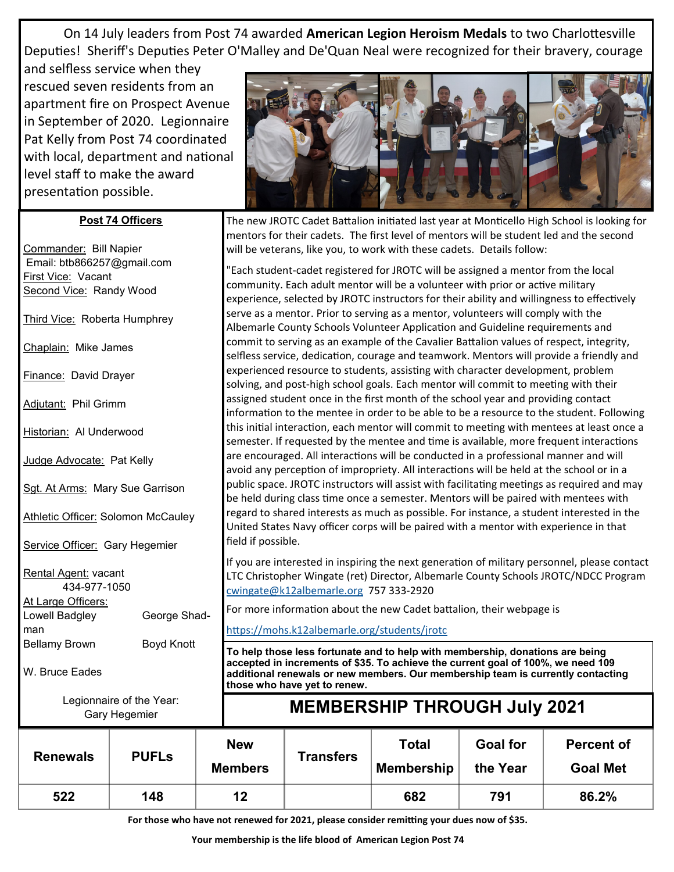On 14 July leaders from Post 74 awarded **American Legion Heroism Medals** to two Charlottesville Deputies! Sheriff's Deputies Peter O'Malley and De'Quan Neal were recognized for their bravery, courage

and selfless service when they rescued seven residents from an apartment fire on Prospect Avenue in September of 2020. Legionnaire Pat Kelly from Post 74 coordinated with local, department and national level staff to make the award presentation possible.

#### **Post 74 Officers**

Commander: Bill Napier Email: btb866257@gmail.com First Vice: Vacant **Second Vice: Randy Wood** 

Third Vice: Roberta Humphrey

Chaplain: Mike James

Finance: David Drayer

Adjutant: Phil Grimm

Historian: Al Underwood

Judge Advocate: Pat Kelly

Sgt. At Arms: Mary Sue Garrison

Athletic Officer: Solomon McCauley

Service Officer: Gary Hegemier

Rental Agent: vacant 434-977-1050 At Large Officers: Lowell Badgley George Shadman

Bellamy Brown Boyd Knott

W. Bruce Eades

<https://mohs.k12albemarle.org/students/jrotc> **To help those less fortunate and to help with membership, donations are being accepted in increments of \$35. To achieve the current goal of 100%, we need 109 additional renewals or new members. Our membership team is currently contacting** 

Legionnaire of the Year:



The new JROTC Cadet Battalion initiated last year at Monticello High School is looking for mentors for their cadets. The first level of mentors will be student led and the second will be veterans, like you, to work with these cadets. Details follow:

"Each student-cadet registered for JROTC will be assigned a mentor from the local community. Each adult mentor will be a volunteer with prior or active military experience, selected by JROTC instructors for their ability and willingness to effectively serve as a mentor. Prior to serving as a mentor, volunteers will comply with the Albemarle County Schools Volunteer Application and Guideline requirements and commit to serving as an example of the Cavalier Battalion values of respect, integrity, selfless service, dedication, courage and teamwork. Mentors will provide a friendly and experienced resource to students, assisting with character development, problem solving, and post-high school goals. Each mentor will commit to meeting with their assigned student once in the first month of the school year and providing contact information to the mentee in order to be able to be a resource to the student. Following this initial interaction, each mentor will commit to meeting with mentees at least once a semester. If requested by the mentee and time is available, more frequent interactions are encouraged. All interactions will be conducted in a professional manner and will avoid any perception of impropriety. All interactions will be held at the school or in a public space. JROTC instructors will assist with facilitating meetings as required and may be held during class time once a semester. Mentors will be paired with mentees with regard to shared interests as much as possible. For instance, a student interested in the United States Navy officer corps will be paired with a mentor with experience in that field if possible.

If you are interested in inspiring the next generation of military personnel, please contact LTC Christopher Wingate (ret) Director, Albemarle County Schools JROTC/NDCC Program [cwingate@k12albemarle.org](mailto:cwingate@k12albemarle.org) 757 333-2920

For more information about the new Cadet battalion, their webpage is

**those who have yet to renew.**

|                 | Legionnaire of the Year:<br>Gary Hegemier |                              | <b>MEMBERSHIP THROUGH July 2021</b> |                            |                             |                                      |  |  |
|-----------------|-------------------------------------------|------------------------------|-------------------------------------|----------------------------|-----------------------------|--------------------------------------|--|--|
| <b>Renewals</b> | <b>PUFLS</b>                              | <b>New</b><br><b>Members</b> | <b>Transfers</b>                    | Total<br><b>Membership</b> | <b>Goal for</b><br>the Year | <b>Percent of</b><br><b>Goal Met</b> |  |  |
| 522             | 148                                       | 12                           |                                     | 682                        | 791                         | 86.2%                                |  |  |

**For those who have not renewed for 2021, please consider remitting your dues now of \$35.**